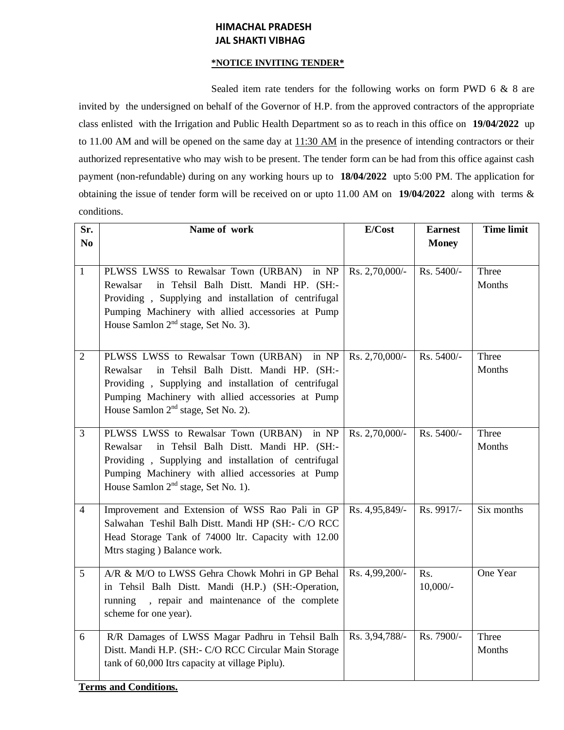## **HIMACHAL PRADESH JAL SHAKTI VIBHAG**

## **\*NOTICE INVITING TENDER\***

Sealed item rate tenders for the following works on form PWD 6 & 8 are invited by the undersigned on behalf of the Governor of H.P. from the approved contractors of the appropriate class enlisted with the Irrigation and Public Health Department so as to reach in this office on **19/04/2022** up to 11.00 AM and will be opened on the same day at  $11:30$  AM in the presence of intending contractors or their authorized representative who may wish to be present. The tender form can be had from this office against cash payment (non-refundable) during on any working hours up to **18/04/2022** upto 5:00 PM. The application for obtaining the issue of tender form will be received on or upto 11.00 AM on **19/04/2022** along with terms & conditions.

| Sr.            | Name of work                                                                                                                                                                                                                                                   | E/Cost         | <b>Earnest</b>     | <b>Time limit</b> |
|----------------|----------------------------------------------------------------------------------------------------------------------------------------------------------------------------------------------------------------------------------------------------------------|----------------|--------------------|-------------------|
| N <sub>0</sub> |                                                                                                                                                                                                                                                                |                | <b>Money</b>       |                   |
| $\mathbf{1}$   | PLWSS LWSS to Rewalsar Town (URBAN) in NP<br>in Tehsil Balh Distt. Mandi HP. (SH:-<br>Rewalsar<br>Providing, Supplying and installation of centrifugal<br>Pumping Machinery with allied accessories at Pump<br>House Samlon 2 <sup>nd</sup> stage, Set No. 3). | Rs. 2,70,000/- | Rs. 5400/-         | Three<br>Months   |
| $\overline{2}$ | PLWSS LWSS to Rewalsar Town (URBAN) in NP<br>in Tehsil Balh Distt. Mandi HP. (SH:-<br>Rewalsar<br>Providing, Supplying and installation of centrifugal<br>Pumping Machinery with allied accessories at Pump<br>House Samlon 2 <sup>nd</sup> stage, Set No. 2). | Rs. 2,70,000/- | Rs. 5400/-         | Three<br>Months   |
| $\overline{3}$ | PLWSS LWSS to Rewalsar Town (URBAN) in NP<br>in Tehsil Balh Distt. Mandi HP. (SH:-<br>Rewalsar<br>Providing, Supplying and installation of centrifugal<br>Pumping Machinery with allied accessories at Pump<br>House Samlon 2 <sup>nd</sup> stage, Set No. 1). | Rs. 2,70,000/- | Rs. 5400/-         | Three<br>Months   |
| $\overline{4}$ | Improvement and Extension of WSS Rao Pali in GP<br>Salwahan Teshil Balh Distt. Mandi HP (SH:- C/O RCC<br>Head Storage Tank of 74000 ltr. Capacity with 12.00<br>Mtrs staging ) Balance work.                                                                   | Rs. 4,95,849/- | Rs. 9917/-         | Six months        |
| 5              | A/R & M/O to LWSS Gehra Chowk Mohri in GP Behal<br>in Tehsil Balh Distt. Mandi (H.P.) (SH:-Operation,<br>, repair and maintenance of the complete<br>running<br>scheme for one year).                                                                          | Rs. 4,99,200/- | Rs.<br>$10,000/$ - | One Year          |
| 6              | R/R Damages of LWSS Magar Padhru in Tehsil Balh<br>Distt. Mandi H.P. (SH:- C/O RCC Circular Main Storage<br>tank of 60,000 Itrs capacity at village Piplu).                                                                                                    | Rs. 3,94,788/- | Rs. 7900/-         | Three<br>Months   |

**Terms and Conditions.**